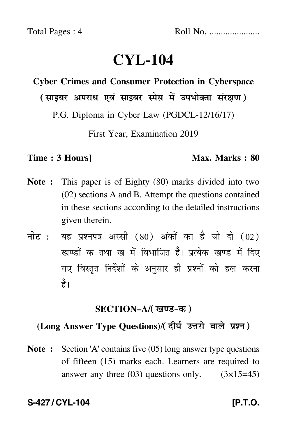# **CYL-104**

# **Cyber Crimes and Consumer Protection in Cyberspace**

( साइबर अपराध एवं साइबर स्पेस में उपभोक्ता संरक्षण )

P.G. Diploma in Cyber Law (PGDCL-12/16/17)

First Year, Examination 2019

#### **Time : 3 Hours]** Max. Marks : 80

- **Note :** This paper is of Eighty (80) marks divided into two (02) sections A and B. Attempt the questions contained in these sections according to the detailed instructions given therein.
- नोट : यह प्रश्नपत्र अस्सी (80) अंकों का है जो दो (02) खण्डों क तथा ख में विभाजित है। प्रत्येक खण्ड में दिए गए विस्तृत निर्देशों के अनुसार ही प्रश्नों को हल करन<mark>ा</mark> है।

#### **SECTION–A/**

### (Long Answer Type Questions)/( दीर्घ उत्तरों वाले प्रश्न)

**Note :** Section 'A' contains five (05) long answer type questions of fifteen (15) marks each. Learners are required to answer any three  $(03)$  questions only.  $(3\times15=45)$ 

**S-427/CYL-104** [P.T.O.]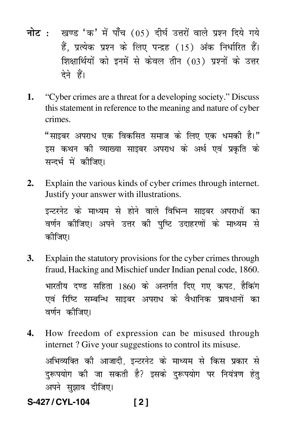- <mark>नोट</mark> : खण्ड 'क' में पाँच (05) दीर्घ उत्तरों वाले प्रश्न दिये गये हैं, प्रत्येक प्रश्न के लिए पन्द्रह (15) अंक निर्धारित हैं। शिक्षार्थियों को इनमें से केवल तीन (03) प्रश्नों के उत्तर देने हैं।
- **1.** "Cyber crimes are a threat for a developing society." Discuss this statement in reference to the meaning and nature of cyber crimes.

"साइबर अपराध एक विकसित समाज के लिए एक धमकी है।" इस कथन की व्याख्या साइबर अपराध के अर्थ एवं प्रकृति के सन्दर्भ में कीजिए।

**2.** Explain the various kinds of cyber crimes through internet. Justify your answer with illustrations.

इन्टरनेट के माध्यम से होने वाले विभिन्न साइबर अपराधों का वर्णन कीजिए। अपने उत्तर की पुष्टि उदाहरणों के माध्यम से कीजिए।

- **3.** Explain the statutory provisions for the cyber crimes through fraud, Hacking and Mischief under Indian penal code, 1860. भारतीय दण्ड सहिता 1860 के अन्तर्गत दिए गए कपट, हैकिंग एवं रिष्टि सम्बन्धि साइबर अपराध के वैधानिक प्रावधानों का वर्णन कीजिए।
- **4.** How freedom of expression can be misused through internet ? Give your suggestions to control its misuse.

अभिव्यक्ति की आजादी, इन्टरनेट के माध्यम से किस प्रकार से दुरूपयोग की जा सकती है? इसके दुरूपयोग पर नियंत्रण हेतु अपने सुझाव दीजिए।

**S-427 / CYL-104 [ 2 ]**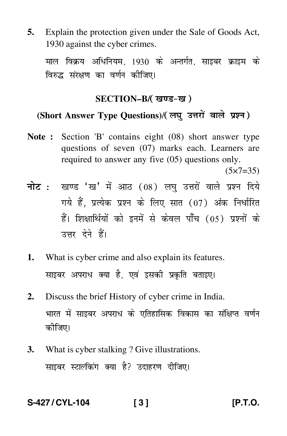**5.** Explain the protection given under the Sale of Goods Act, 1930 against the cyber crimes.

माल विक्रय अधिनियम, 1930 के अन्तर्गत, साइबर क्राइम के विरुद्ध संरक्षण का वर्णन कीजिए।

#### **SECTION–B/**

## (Short Answer Type Questions)/(लघ उत्तरों वाले प्रश्न)

**Note :** Section 'B' contains eight (08) short answer type questions of seven (07) marks each. Learners are required to answer any five (05) questions only.

 $(5 \times 7 = 35)$ 

- <mark>नोट</mark> : खण्ड 'ख' में आठ (08) लघु उत्तरों वाले प्रश्न दिये गये हैं, प्रत्येक प्रश्न के लिए सात (07) अंक निर्धारित हैं। शिक्षार्थियों को इनमें से केवल पाँच (05) प्रश्नों के उत्तर देने हैं।
- **1.** What is cyber crime and also explain its features. साइबर अपराध क्या है, एवं इसकी प्रकृति बताइए।
- **2.** Discuss the brief History of cyber crime in India. भारत में साइबर अपराध के एतिहासिक विकास का संक्षिप्त वर्णन कीजिए।
- **3.** What is cyber stalking ? Give illustrations. साइबर स्टाल्किंग क्या है? उदाहरण दीजिए।

## **S-427 / CYL-104 [ 3 ] [P.T.O.**